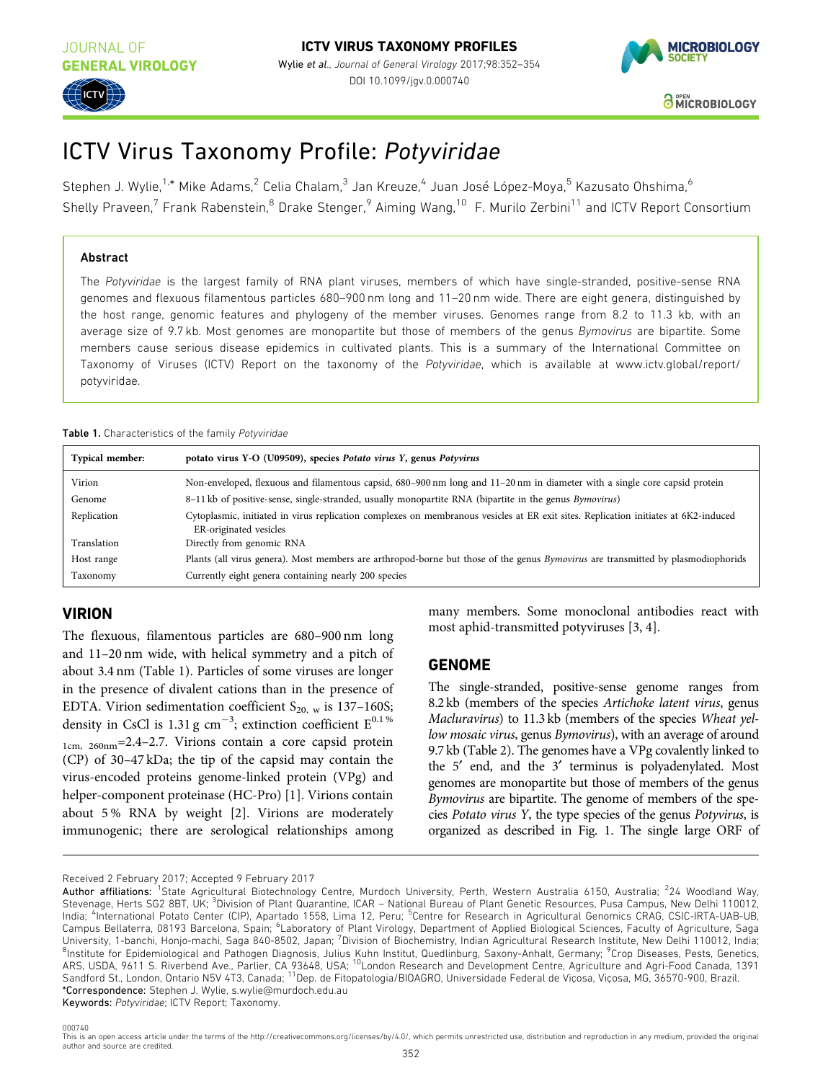

# ICTV Virus Taxonomy Profile: Potyviridae

Stephen J. Wylie,<sup>1,\*</sup> Mike Adams,<sup>2</sup> Celia Chalam,<sup>3</sup> Jan Kreuze,<sup>4</sup> Juan José López-Moya,<sup>5</sup> Kazusato Ohshima,<sup>6</sup> Shelly Praveen,<sup>7</sup> Frank Rabenstein,<sup>8</sup> Drake Stenger,<sup>9</sup> Aiming Wang,<sup>10</sup> F. Murilo Zerbini<sup>11</sup> and ICTV Report Consortium

### Abstract

**ICTV**

The Potyviridae is the largest family of RNA plant viruses, members of which have single-stranded, positive-sense RNA genomes and flexuous filamentous particles 680–900 nm long and 11–20 nm wide. There are eight genera, distinguished by the host range, genomic features and phylogeny of the member viruses. Genomes range from 8.2 to 11.3 kb, with an average size of 9.7 kb. Most genomes are monopartite but those of members of the genus Bymovirus are bipartite. Some members cause serious disease epidemics in cultivated plants. This is a summary of the International Committee on Taxonomy of Viruses (ICTV) Report on the taxonomy of the Potyviridae, which is available at [www.ictv.global/report/](https://talk.ictvonline.org/ictv-reports/ictv_online_report/) [potyviridae.](https://talk.ictvonline.org/ictv-reports/ictv_online_report/)

#### Table 1. Characteristics of the family Potyviridae

| <b>Typical member:</b> | potato virus Y-O (U09509), species Potato virus Y, genus Potyvirus                                                                                            |
|------------------------|---------------------------------------------------------------------------------------------------------------------------------------------------------------|
| Virion                 | Non-enveloped, flexuous and filamentous capsid, 680–900 nm long and 11–20 nm in diameter with a single core capsid protein                                    |
| Genome                 | 8-11 kb of positive-sense, single-stranded, usually monopartite RNA (bipartite in the genus Bymovirus)                                                        |
| Replication            | Cytoplasmic, initiated in virus replication complexes on membranous vesicles at ER exit sites. Replication initiates at 6K2-induced<br>ER-originated vesicles |
| Translation            | Directly from genomic RNA                                                                                                                                     |
| Host range             | Plants (all virus genera). Most members are arthropod-borne but those of the genus Bymovirus are transmitted by plasmodiophorids                              |
| Taxonomy               | Currently eight genera containing nearly 200 species                                                                                                          |

# VIRION

The flexuous, filamentous particles are 680–900 nm long and 11–20 nm wide, with helical symmetry and a pitch of about 3.4 nm (Table 1). Particles of some viruses are longer in the presence of divalent cations than in the presence of EDTA. Virion sedimentation coefficient  $S_{20, w}$  is 137–160S; density in CsCl is 1.31 g cm<sup>-3</sup>; extinction coefficient  $E^{0.1\%}$ 1cm, 260nm=2.4–2.7. Virions contain a core capsid protein (CP) of 30–47 kDa; the tip of the capsid may contain the virus-encoded proteins genome-linked protein (VPg) and helper-component proteinase (HC-Pro) [[1](#page-2-0)]. Virions contain about 5 % RNA by weight [\[2](#page-2-0)]. Virions are moderately immunogenic; there are serological relationships among many members. Some monoclonal antibodies react with most aphid-transmitted potyviruses [[3, 4](#page-2-0)].

## GENOME

The single-stranded, positive-sense genome ranges from 8.2 kb (members of the species Artichoke latent virus, genus Macluravirus) to 11.3 kb (members of the species Wheat yellow mosaic virus, genus Bymovirus), with an average of around 9.7 kb [\(Table 2\)](#page-1-0). The genomes have a VPg covalently linked to the 5<sup>'</sup> end, and the 3<sup>'</sup> terminus is polyadenylated. Most genomes are monopartite but those of members of the genus Bymovirus are bipartite. The genome of members of the species Potato virus Y, the type species of the genus Potyvirus, is organized as described in [Fig. 1.](#page-1-0) The single large ORF of

Keywords: Potyviridae; ICTV Report; Taxonomy.

Received 2 February 2017; Accepted 9 February 2017<br>**Author affiliations: <sup>1</sup>St**ate Agricultural Biotechnology Centre, Murdoch University, Perth, Western Australia 6150, Australia; <sup>2</sup>24 Woodland Way, Stevenage, Herts SG2 8BT, UK; <sup>3</sup>Division of Plant Quarantine, ICAR - National Bureau of Plant Genetic Resources, Pusa Campus, New Delhi 110012, India; <sup>4</sup>International Potato Center (CIP), Apartado 1558, Lima 12, Peru; <sup>5</sup>Centre for Research in Agricultural Genomics CRAG, CSIC-IRTA-UAB-UB, Campus Bellaterra, 08193 Barcelona, Spain; <sup>6</sup>Laboratory of Plant Virology, Department of Applied Biological Sciences, Faculty of Agriculture, Saga University, 1-banchi, Honjo-machi, Saga 840-8502, Japan; <sup>7</sup>Division of Biochemistry, Indian Agricultural Research Institute, New Delhi 110012, India; <sup>8</sup>Institute for Epidemiological and Pathogen Diagnosis, Julius Kuhn Institut, Quedlinburg, Saxony-Anhalt, Germany; <sup>9</sup>Crop Diseases, Pests, Genetics, ARS, USDA, 9611 S. Riverbend Ave., Parlier, CA 93648, USA; <sup>10</sup>London Research and Development Centre, Agriculture and Agri-Food Canada, 1391 Sandford St., London, Ontario N5V 4T3, Canada; <sup>11</sup>Dep. de Fitopatologia/BIOAGRO, Universidade Federal de Viçosa, Viçosa, MG, 36570-900, Brazil. \*Correspondence: Stephen J. Wylie, s.wylie@murdoch.edu.au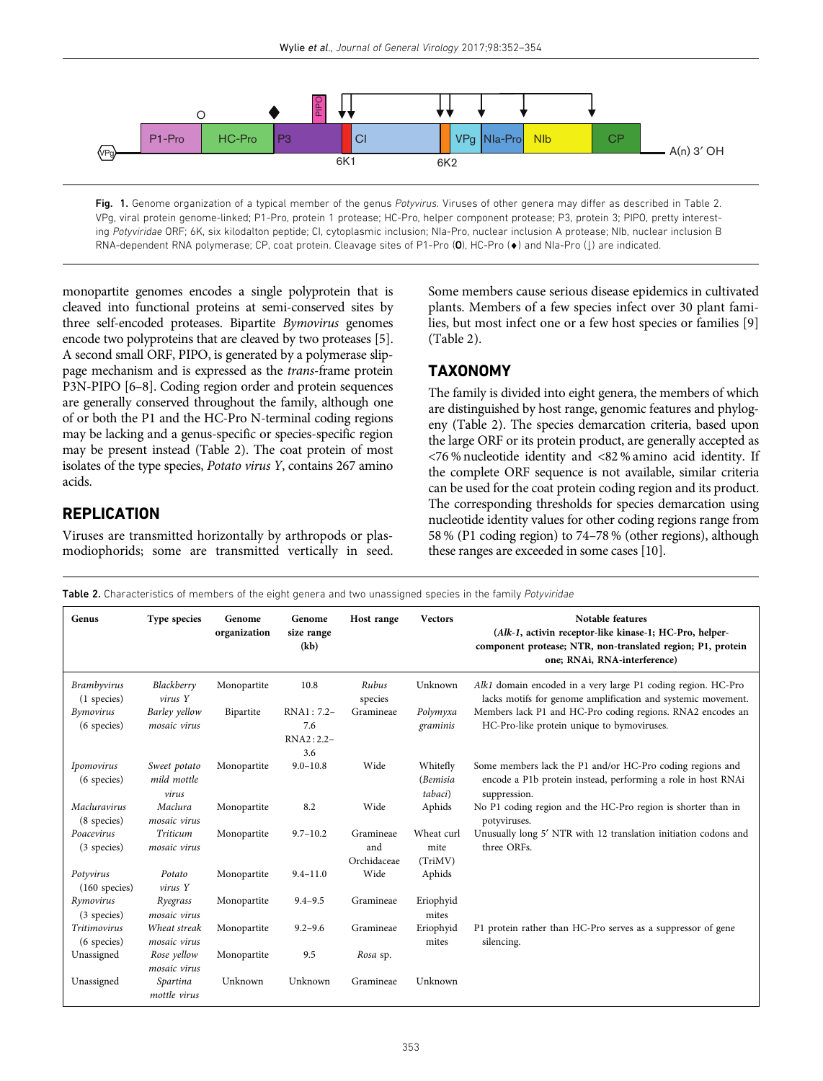<span id="page-1-0"></span>

Fig. 1. Genome organization of a typical member of the genus Potyvirus. Viruses of other genera may differ as described in Table 2. VPg, viral protein genome-linked; P1-Pro, protein 1 protease; HC-Pro, helper component protease; P3, protein 3; PIPO, pretty interesting Potyviridae ORF; 6K, six kilodalton peptide; CI, cytoplasmic inclusion; NIa-Pro, nuclear inclusion A protease; NIb, nuclear inclusion B RNA-dependent RNA polymerase; CP, coat protein. Cleavage sites of P1-Pro (0), HC-Pro ( $\bullet$ ) and NIa-Pro (1) are indicated.

monopartite genomes encodes a single polyprotein that is cleaved into functional proteins at semi-conserved sites by three self-encoded proteases. Bipartite Bymovirus genomes encode two polyproteins that are cleaved by two proteases [\[5](#page-2-0)]. A second small ORF, PIPO, is generated by a polymerase slippage mechanism and is expressed as the trans-frame protein P3N-PIPO [\[6](#page-2-0)–8]. Coding region order and protein sequences are generally conserved throughout the family, although one of or both the P1 and the HC-Pro N-terminal coding regions may be lacking and a genus-specific or species-specific region may be present instead (Table 2). The coat protein of most isolates of the type species, Potato virus Y, contains 267 amino acids.

## **REPLICATION**

Viruses are transmitted horizontally by arthropods or plasmodiophorids; some are transmitted vertically in seed. Some members cause serious disease epidemics in cultivated plants. Members of a few species infect over 30 plant families, but most infect one or a few host species or families [[9\]](#page-2-0) (Table 2).

## **TAXONOMY**

The family is divided into eight genera, the members of which are distinguished by host range, genomic features and phylogeny (Table 2). The species demarcation criteria, based upon the large ORF or its protein product, are generally accepted as <76 % nucleotide identity and <82 % amino acid identity. If the complete ORF sequence is not available, similar criteria can be used for the coat protein coding region and its product. The corresponding thresholds for species demarcation using nucleotide identity values for other coding regions range from 58 % (P1 coding region) to 74–78 % (other regions), although these ranges are exceeded in some cases [\[10](#page-2-0)].

Table 2. Characteristics of members of the eight genera and two unassigned species in the family Potyviridae

| Genus                             | Type species                         | Genome<br>organization | Genome<br>size range<br>(kb)            | Host range                      | <b>Vectors</b>                  | Notable features<br>(Alk-1, activin receptor-like kinase-1; HC-Pro, helper-<br>component protease; NTR, non-translated region; P1, protein<br>one; RNAi, RNA-interference) |
|-----------------------------------|--------------------------------------|------------------------|-----------------------------------------|---------------------------------|---------------------------------|----------------------------------------------------------------------------------------------------------------------------------------------------------------------------|
| <b>Brambyvirus</b><br>(1 species) | Blackberry<br>$virus$ $Y$            | Monopartite            | 10.8                                    | Rubus<br>species                | Unknown                         | Alk1 domain encoded in a very large P1 coding region. HC-Pro<br>lacks motifs for genome amplification and systemic movement.                                               |
| <b>Bymovirus</b><br>(6 species)   | Barley yellow<br>mosaic virus        | Bipartite              | RNA1: 7.2-<br>7.6<br>$RNA2:2.2-$<br>3.6 | Gramineae                       | Polymyxa<br>graminis            | Members lack P1 and HC-Pro coding regions. RNA2 encodes an<br>HC-Pro-like protein unique to bymoviruses.                                                                   |
| Ipomovirus<br>(6 species)         | Sweet potato<br>mild mottle<br>virus | Monopartite            | $9.0 - 10.8$                            | Wide                            | Whitefly<br>(Bemisia<br>tabaci) | Some members lack the P1 and/or HC-Pro coding regions and<br>encode a P1b protein instead, performing a role in host RNAi<br>suppression.                                  |
| Macluravirus<br>(8 species)       | Maclura<br>mosaic virus              | Monopartite            | 8.2                                     | Wide                            | Aphids                          | No P1 coding region and the HC-Pro region is shorter than in<br>potyviruses.                                                                                               |
| Poacevirus<br>(3 species)         | Triticum<br>mosaic virus             | Monopartite            | $9.7 - 10.2$                            | Gramineae<br>and<br>Orchidaceae | Wheat curl<br>mite<br>(TriMV)   | Unusually long 5' NTR with 12 translation initiation codons and<br>three ORFs.                                                                                             |
| Potyvirus<br>$(160$ species)      | Potato<br>virus Y                    | Monopartite            | $9.4 - 11.0$                            | Wide                            | Aphids                          |                                                                                                                                                                            |
| Rymovirus<br>(3 species)          | Ryegrass<br>mosaic virus             | Monopartite            | $9.4 - 9.5$                             | Gramineae                       | Eriophyid<br>mites              |                                                                                                                                                                            |
| Tritimovirus<br>(6 species)       | Wheat streak<br>mosaic virus         | Monopartite            | $9.2 - 9.6$                             | Gramineae                       | Eriophyid<br>mites              | P1 protein rather than HC-Pro serves as a suppressor of gene<br>silencing.                                                                                                 |
| Unassigned                        | Rose yellow<br>mosaic virus          | Monopartite            | 9.5                                     | Rosa sp.                        |                                 |                                                                                                                                                                            |
| Unassigned                        | Spartina<br>mottle virus             | Unknown                | Unknown                                 | Gramineae                       | Unknown                         |                                                                                                                                                                            |